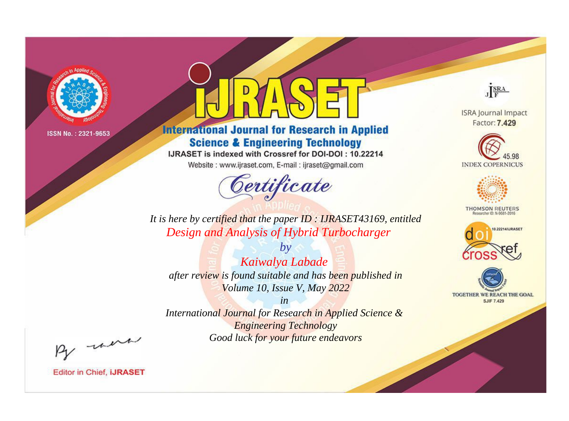

# **International Journal for Research in Applied Science & Engineering Technology**

IJRASET is indexed with Crossref for DOI-DOI: 10.22214

Website: www.ijraset.com, E-mail: ijraset@gmail.com



JERA

**ISRA Journal Impact** Factor: 7.429





**THOMSON REUTERS** 



TOGETHER WE REACH THE GOAL **SJIF 7.429** 

*It is here by certified that the paper ID : IJRASET43169, entitled Design and Analysis of Hybrid Turbocharger*

*Kaiwalya Labade after review is found suitable and has been published in Volume 10, Issue V, May 2022*

*by*

*in International Journal for Research in Applied Science &* 

> *Engineering Technology Good luck for your future endeavors*

By morn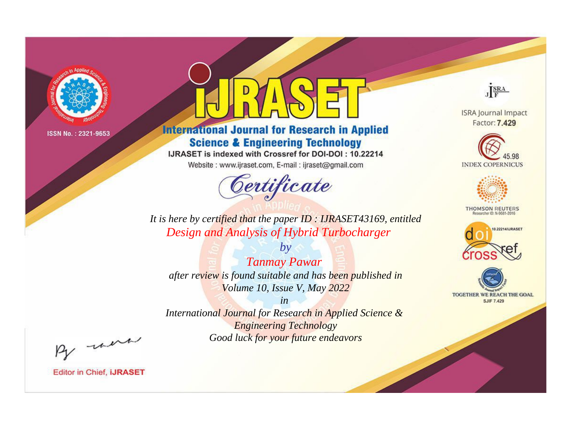

# **International Journal for Research in Applied Science & Engineering Technology**

IJRASET is indexed with Crossref for DOI-DOI: 10.22214

Website: www.ijraset.com, E-mail: ijraset@gmail.com



JERA

**ISRA Journal Impact** Factor: 7.429





**THOMSON REUTERS** 



TOGETHER WE REACH THE GOAL **SJIF 7.429** 

*It is here by certified that the paper ID : IJRASET43169, entitled Design and Analysis of Hybrid Turbocharger*

*by Tanmay Pawar after review is found suitable and has been published in Volume 10, Issue V, May 2022*

*in* 

*International Journal for Research in Applied Science & Engineering Technology Good luck for your future endeavors*

By morn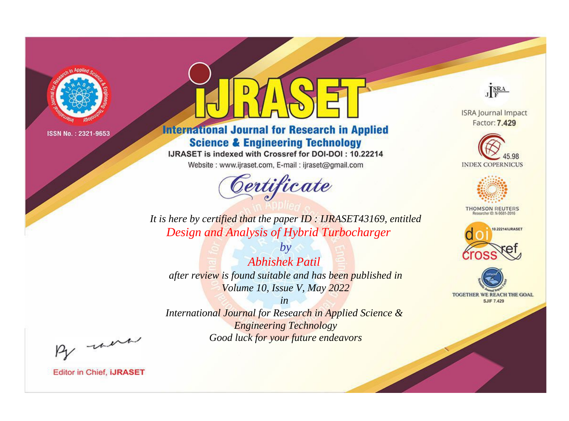

# **International Journal for Research in Applied Science & Engineering Technology**

IJRASET is indexed with Crossref for DOI-DOI: 10.22214

Website: www.ijraset.com, E-mail: ijraset@gmail.com



JERA

**ISRA Journal Impact** Factor: 7.429





**THOMSON REUTERS** 



TOGETHER WE REACH THE GOAL **SJIF 7.429** 

*It is here by certified that the paper ID : IJRASET43169, entitled Design and Analysis of Hybrid Turbocharger*

*by Abhishek Patil after review is found suitable and has been published in Volume 10, Issue V, May 2022*

*in International Journal for Research in Applied Science &* 

*Engineering Technology Good luck for your future endeavors*

By morn